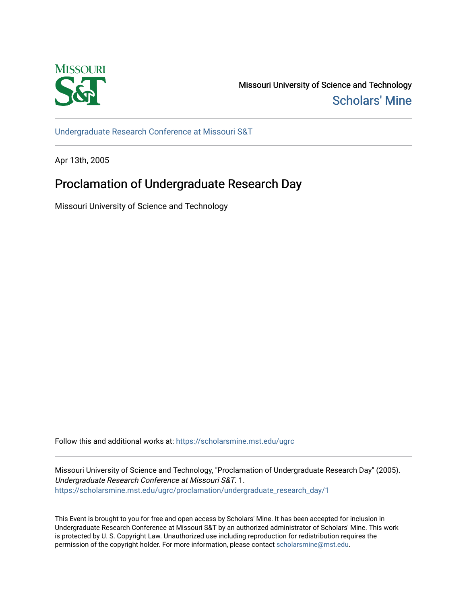

Missouri University of Science and Technology [Scholars' Mine](https://scholarsmine.mst.edu/) 

[Undergraduate Research Conference at Missouri S&T](https://scholarsmine.mst.edu/ugrc)

Apr 13th, 2005

## Proclamation of Undergraduate Research Day

Missouri University of Science and Technology

Follow this and additional works at: [https://scholarsmine.mst.edu/ugrc](https://scholarsmine.mst.edu/ugrc?utm_source=scholarsmine.mst.edu%2Fugrc%2Fproclamation%2Fundergraduate_research_day%2F1&utm_medium=PDF&utm_campaign=PDFCoverPages) 

Missouri University of Science and Technology, "Proclamation of Undergraduate Research Day" (2005). Undergraduate Research Conference at Missouri S&T. 1. [https://scholarsmine.mst.edu/ugrc/proclamation/undergraduate\\_research\\_day/1](https://scholarsmine.mst.edu/ugrc/proclamation/undergraduate_research_day/1?utm_source=scholarsmine.mst.edu%2Fugrc%2Fproclamation%2Fundergraduate_research_day%2F1&utm_medium=PDF&utm_campaign=PDFCoverPages) 

This Event is brought to you for free and open access by Scholars' Mine. It has been accepted for inclusion in Undergraduate Research Conference at Missouri S&T by an authorized administrator of Scholars' Mine. This work is protected by U. S. Copyright Law. Unauthorized use including reproduction for redistribution requires the permission of the copyright holder. For more information, please contact [scholarsmine@mst.edu](mailto:scholarsmine@mst.edu).